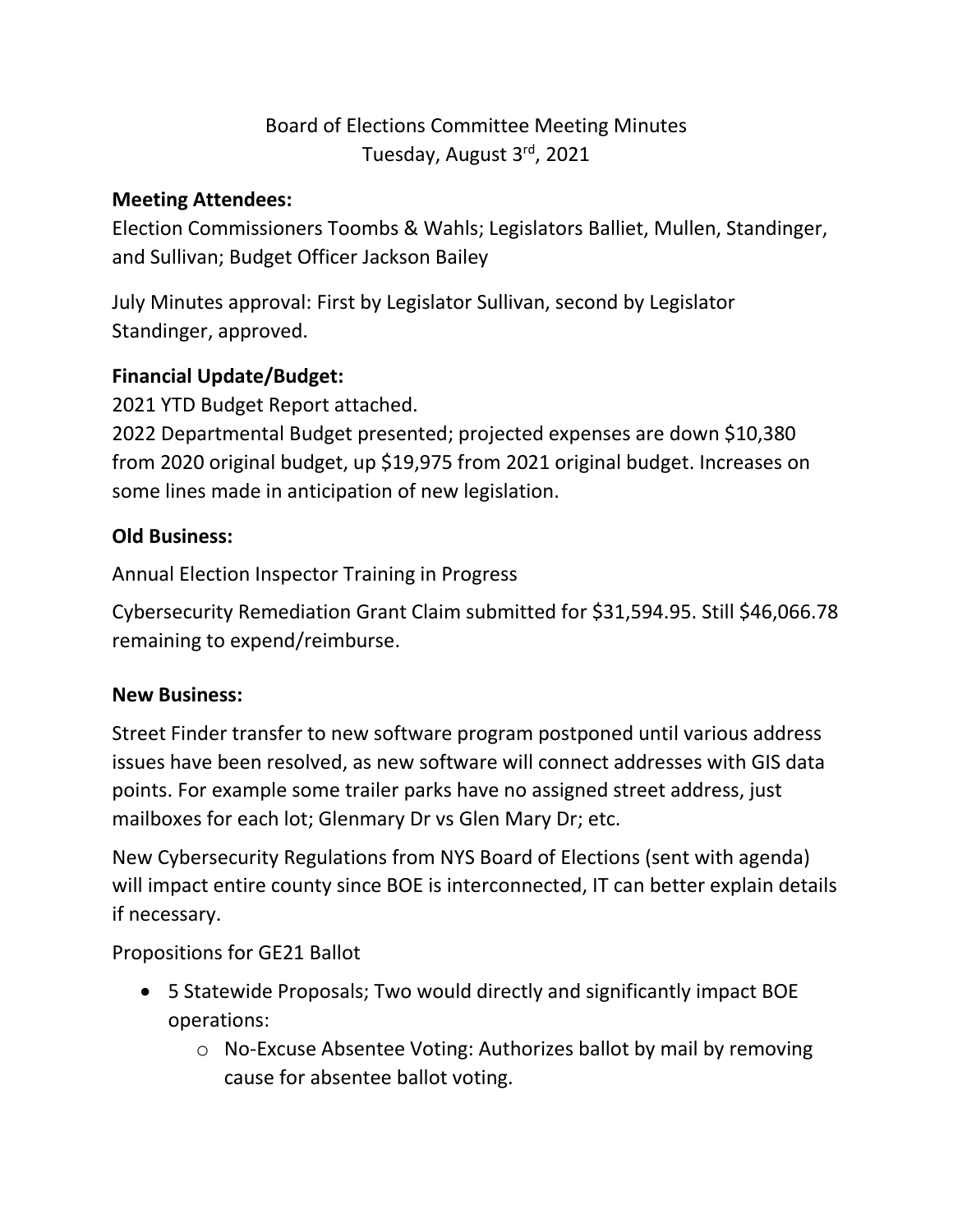# Board of Elections Committee Meeting Minutes Tuesday, August 3rd, 2021

#### **Meeting Attendees:**

Election Commissioners Toombs & Wahls; Legislators Balliet, Mullen, Standinger, and Sullivan; Budget Officer Jackson Bailey

July Minutes approval: First by Legislator Sullivan, second by Legislator Standinger, approved.

## **Financial Update/Budget:**

2021 YTD Budget Report attached.

2022 Departmental Budget presented; projected expenses are down \$10,380 from 2020 original budget, up \$19,975 from 2021 original budget. Increases on some lines made in anticipation of new legislation.

## **Old Business:**

Annual Election Inspector Training in Progress

Cybersecurity Remediation Grant Claim submitted for \$31,594.95. Still \$46,066.78 remaining to expend/reimburse.

#### **New Business:**

Street Finder transfer to new software program postponed until various address issues have been resolved, as new software will connect addresses with GIS data points. For example some trailer parks have no assigned street address, just mailboxes for each lot; Glenmary Dr vs Glen Mary Dr; etc.

New Cybersecurity Regulations from NYS Board of Elections (sent with agenda) will impact entire county since BOE is interconnected, IT can better explain details if necessary.

Propositions for GE21 Ballot

- 5 Statewide Proposals; Two would directly and significantly impact BOE operations:
	- o No-Excuse Absentee Voting: Authorizes ballot by mail by removing cause for absentee ballot voting.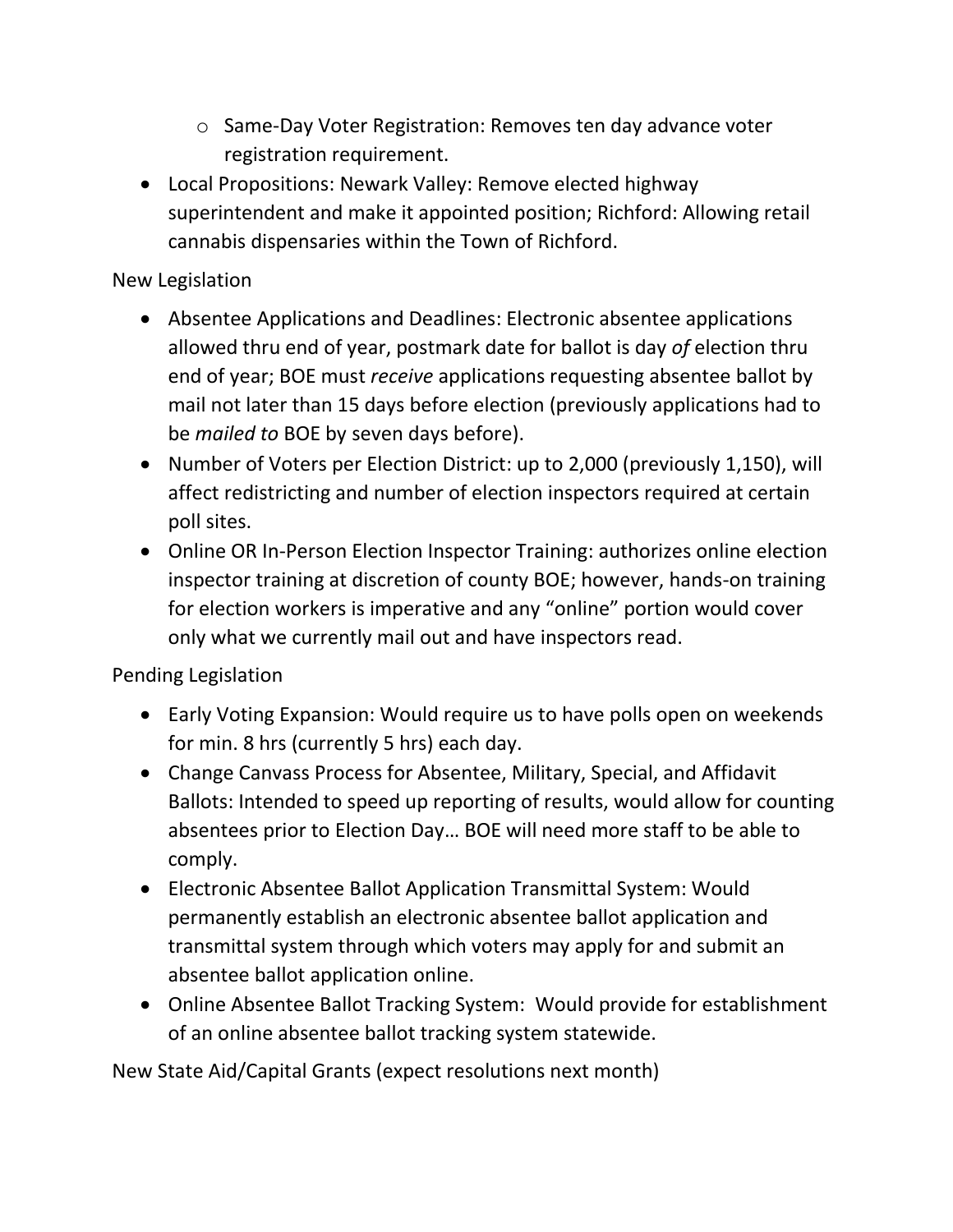- o Same-Day Voter Registration: Removes ten day advance voter registration requirement.
- Local Propositions: Newark Valley: Remove elected highway superintendent and make it appointed position; Richford: Allowing retail cannabis dispensaries within the Town of Richford.

### New Legislation

- Absentee Applications and Deadlines: Electronic absentee applications allowed thru end of year, postmark date for ballot is day *of* election thru end of year; BOE must *receive* applications requesting absentee ballot by mail not later than 15 days before election (previously applications had to be *mailed to* BOE by seven days before).
- Number of Voters per Election District: up to 2,000 (previously 1,150), will affect redistricting and number of election inspectors required at certain poll sites.
- Online OR In-Person Election Inspector Training: authorizes online election inspector training at discretion of county BOE; however, hands-on training for election workers is imperative and any "online" portion would cover only what we currently mail out and have inspectors read.

Pending Legislation

- Early Voting Expansion: Would require us to have polls open on weekends for min. 8 hrs (currently 5 hrs) each day.
- Change Canvass Process for Absentee, Military, Special, and Affidavit Ballots: Intended to speed up reporting of results, would allow for counting absentees prior to Election Day… BOE will need more staff to be able to comply.
- Electronic Absentee Ballot Application Transmittal System: Would permanently establish an electronic absentee ballot application and transmittal system through which voters may apply for and submit an absentee ballot application online.
- Online Absentee Ballot Tracking System: Would provide for establishment of an online absentee ballot tracking system statewide.

New State Aid/Capital Grants (expect resolutions next month)